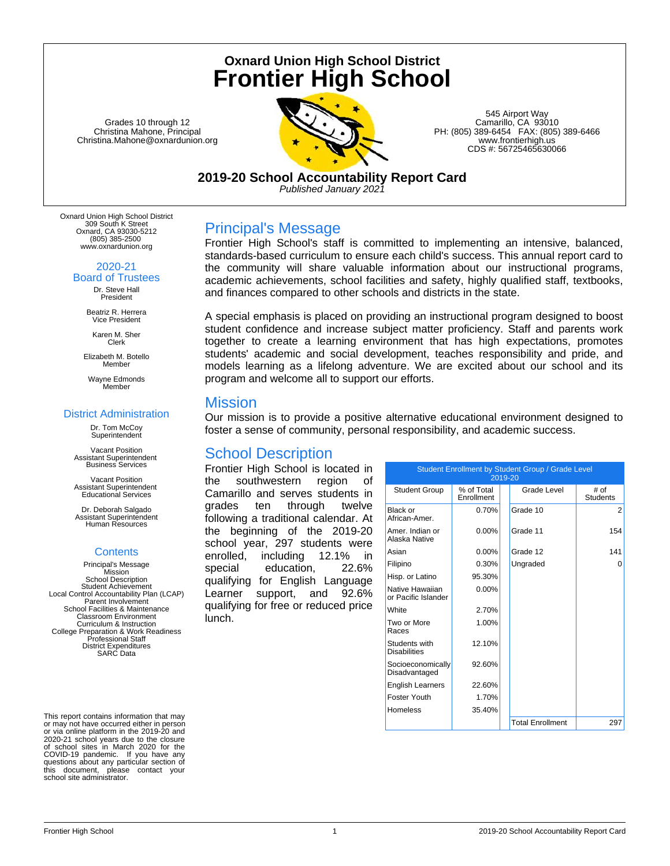# **Oxnard Union High School District Frontier High School**

Grades 10 through 12 Christina Mahone, Principal Christina.Mahone@oxnardunion.org



545 Airport Way Camarillo, CA 93010 PH: (805) 389-6454 FAX: (805) 389-6466 www.frontierhigh.us CDS #: 56725465630066

**2019-20 School Accountability Report Card** *Published January 2021*

Oxnard Union High School District 309 South K Street Oxnard, CA 93030-5212 (805) 385-2500 www.oxnardunion.org

#### 2020-21

Board of Trustees Dr. Steve Hall President

> Beatriz R. Herrera Vice President

Karen M. Sher Clerk

Elizabeth M. Botello Member

Wayne Edmonds Member

#### District Administration

Dr. Tom McCoy **Superintendent** 

Vacant Position Assistant Superintendent Business Services

Vacant Position Assistant Superintendent Educational Services

Dr. Deborah Salgado Assistant Superintendent Human Resources

### **Contents**

Principal's Message Mission School Description Student Achievement Local Control Accountability Plan (LCAP) Parent Involvement School Facilities & Maintenance Classroom Environment Curriculum & Instruction College Preparation & Work Readiness Professional Staff District Expenditures SARC Data

This report contains information that may or may not have occurred either in person or via online platform in the 2019-20 and 2020-21 school years due to the closure of school sites in March 2020 for the COVID-19 pandemic. If you have any questions about any particular section of this document, please contact your school site administrator.

# Principal's Message

Frontier High School's staff is committed to implementing an intensive, balanced, standards-based curriculum to ensure each child's success. This annual report card to the community will share valuable information about our instructional programs, academic achievements, school facilities and safety, highly qualified staff, textbooks, and finances compared to other schools and districts in the state.

A special emphasis is placed on providing an instructional program designed to boost student confidence and increase subject matter proficiency. Staff and parents work together to create a learning environment that has high expectations, promotes students' academic and social development, teaches responsibility and pride, and models learning as a lifelong adventure. We are excited about our school and its program and welcome all to support our efforts.

# **Mission**

Our mission is to provide a positive alternative educational environment designed to foster a sense of community, personal responsibility, and academic success.

# School Description

Frontier High School is located in the southwestern region of Camarillo and serves students in grades ten through twelve following a traditional calendar. At the beginning of the 2019-20 school year, 297 students were enrolled, including 12.1% in special education, 22.6% qualifying for English Language Learner support, and 92.6% qualifying for free or reduced price lunch.

| Student Enrollment by Student Group / Grade Level<br>2019-20 |                          |  |                         |                         |  |  |
|--------------------------------------------------------------|--------------------------|--|-------------------------|-------------------------|--|--|
| <b>Student Group</b>                                         | % of Total<br>Enrollment |  | Grade Level             | # of<br><b>Students</b> |  |  |
| Black or<br>African-Amer                                     | 0.70%                    |  | Grade 10                | 2                       |  |  |
| Amer, Indian or<br>Alaska Native                             | $0.00\%$                 |  | Grade 11                | 154                     |  |  |
| Asian                                                        | $0.00\%$                 |  | Grade 12                | 141                     |  |  |
| Filipino                                                     | 0.30%                    |  | Ungraded                | 0                       |  |  |
| Hisp. or Latino                                              | 95.30%                   |  |                         |                         |  |  |
| Native Hawaiian<br>or Pacific Islander                       | $0.00\%$                 |  |                         |                         |  |  |
| White                                                        | 2.70%                    |  |                         |                         |  |  |
| Two or More<br>Races                                         | 1.00%                    |  |                         |                         |  |  |
| Students with<br><b>Disabilities</b>                         | 12.10%                   |  |                         |                         |  |  |
| Socioeconomically<br>Disadvantaged                           | 92.60%                   |  |                         |                         |  |  |
| <b>English Learners</b>                                      | 22.60%                   |  |                         |                         |  |  |
| Foster Youth                                                 | 1.70%                    |  |                         |                         |  |  |
| Homeless                                                     | 35.40%                   |  |                         |                         |  |  |
|                                                              |                          |  | <b>Total Enrollment</b> | 297                     |  |  |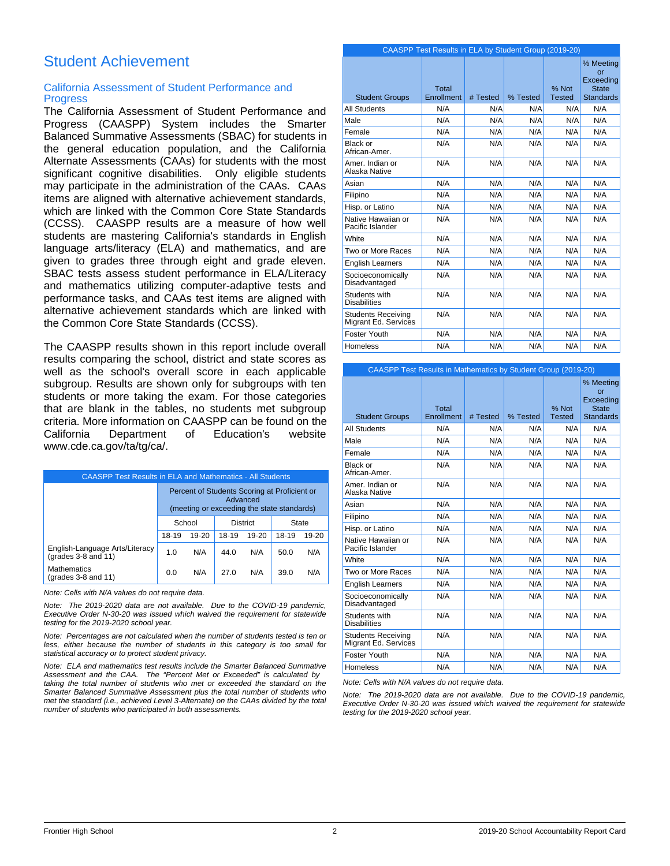# Student Achievement

### California Assessment of Student Performance and **Progress**

The California Assessment of Student Performance and Progress (CAASPP) System includes the Smarter Balanced Summative Assessments (SBAC) for students in the general education population, and the California Alternate Assessments (CAAs) for students with the most significant cognitive disabilities. Only eligible students may participate in the administration of the CAAs. CAAs items are aligned with alternative achievement standards, which are linked with the Common Core State Standards (CCSS). CAASPP results are a measure of how well students are mastering California's standards in English language arts/literacy (ELA) and mathematics, and are given to grades three through eight and grade eleven. SBAC tests assess student performance in ELA/Literacy and mathematics utilizing computer-adaptive tests and performance tasks, and CAAs test items are aligned with alternative achievement standards which are linked with the Common Core State Standards (CCSS).

The CAASPP results shown in this report include overall results comparing the school, district and state scores as well as the school's overall score in each applicable subgroup. Results are shown only for subgroups with ten students or more taking the exam. For those categories that are blank in the tables, no students met subgroup criteria. More information on CAASPP can be found on the California Department of Education's website www.cde.ca.gov/ta/tg/ca/.

| <b>CAASPP Test Results in ELA and Mathematics - All Students</b> |                                                                                                        |           |       |       |       |       |
|------------------------------------------------------------------|--------------------------------------------------------------------------------------------------------|-----------|-------|-------|-------|-------|
|                                                                  | Percent of Students Scoring at Proficient or<br>Advanced<br>(meeting or exceeding the state standards) |           |       |       |       |       |
|                                                                  | School<br><b>District</b><br>State                                                                     |           |       |       |       |       |
|                                                                  | 18-19                                                                                                  | $19 - 20$ | 18-19 | 19-20 | 18-19 | 19-20 |
| English-Language Arts/Literacy<br>(grades 3-8 and 11)            | 1.0                                                                                                    | N/A       | 44.0  | N/A   | 50.0  | N/A   |
| <b>Mathematics</b><br>(grades 3-8 and 11)                        | 0.0                                                                                                    | N/A       | 27.0  | N/A   | 39.0  | N/A   |

*Note: Cells with N/A values do not require data.*

*Note: The 2019-2020 data are not available. Due to the COVID-19 pandemic, Executive Order N-30-20 was issued which waived the requirement for statewide testing for the 2019-2020 school year.*

*Note: Percentages are not calculated when the number of students tested is ten or less, either because the number of students in this category is too small for statistical accuracy or to protect student privacy.*

*Note: ELA and mathematics test results include the Smarter Balanced Summative Assessment and the CAA. The "Percent Met or Exceeded" is calculated by taking the total number of students who met or exceeded the standard on the Smarter Balanced Summative Assessment plus the total number of students who met the standard (i.e., achieved Level 3-Alternate) on the CAAs divided by the total number of students who participated in both assessments.*

|                                                   | CAASPP Test Results in ELA by Student Group (2019-20) |          |          |                        |                                                                  |
|---------------------------------------------------|-------------------------------------------------------|----------|----------|------------------------|------------------------------------------------------------------|
| <b>Student Groups</b>                             | Total<br>Enrollment                                   | # Tested | % Tested | % Not<br><b>Tested</b> | % Meeting<br>or<br>Exceeding<br><b>State</b><br><b>Standards</b> |
| <b>All Students</b>                               | N/A                                                   | N/A      | N/A      | N/A                    | N/A                                                              |
| Male                                              | N/A                                                   | N/A      | N/A      | N/A                    | N/A                                                              |
| Female                                            | N/A                                                   | N/A      | N/A      | N/A                    | N/A                                                              |
| <b>Black or</b><br>African-Amer.                  | N/A                                                   | N/A      | N/A      | N/A                    | N/A                                                              |
| Amer, Indian or<br>Alaska Native                  | N/A                                                   | N/A      | N/A      | N/A                    | N/A                                                              |
| Asian                                             | N/A                                                   | N/A      | N/A      | N/A                    | N/A                                                              |
| Filipino                                          | N/A                                                   | N/A      | N/A      | N/A                    | N/A                                                              |
| Hisp. or Latino                                   | N/A                                                   | N/A      | N/A      | N/A                    | N/A                                                              |
| Native Hawaiian or<br>Pacific Islander            | N/A                                                   | N/A      | N/A      | N/A                    | N/A                                                              |
| White                                             | N/A                                                   | N/A      | N/A      | N/A                    | N/A                                                              |
| Two or More Races                                 | N/A                                                   | N/A      | N/A      | N/A                    | N/A                                                              |
| <b>English Learners</b>                           | N/A                                                   | N/A      | N/A      | N/A                    | N/A                                                              |
| Socioeconomically<br>Disadvantaged                | N/A                                                   | N/A      | N/A      | N/A                    | N/A                                                              |
| Students with<br><b>Disabilities</b>              | N/A                                                   | N/A      | N/A      | N/A                    | N/A                                                              |
| <b>Students Receiving</b><br>Migrant Ed. Services | N/A                                                   | N/A      | N/A      | N/A                    | N/A                                                              |
| Foster Youth                                      | N/A                                                   | N/A      | N/A      | N/A                    | N/A                                                              |
| <b>Homeless</b>                                   | N/A                                                   | N/A      | N/A      | N/A                    | N/A                                                              |

| <b>CAASPP Test Results in Mathematics by Student Group (2019-20)</b> |                     |          |          |                        |                                                                  |
|----------------------------------------------------------------------|---------------------|----------|----------|------------------------|------------------------------------------------------------------|
| <b>Student Groups</b>                                                | Total<br>Enrollment | # Tested | % Tested | % Not<br><b>Tested</b> | % Meeting<br>or<br>Exceeding<br><b>State</b><br><b>Standards</b> |
| <b>All Students</b>                                                  | N/A                 | N/A      | N/A      | N/A                    | N/A                                                              |
| Male                                                                 | N/A                 | N/A      | N/A      | N/A                    | N/A                                                              |
| Female                                                               | N/A                 | N/A      | N/A      | N/A                    | N/A                                                              |
| <b>Black or</b><br>African-Amer.                                     | N/A                 | N/A      | N/A      | N/A                    | N/A                                                              |
| Amer. Indian or<br>Alaska Native                                     | N/A                 | N/A      | N/A      | N/A                    | N/A                                                              |
| Asian                                                                | N/A                 | N/A      | N/A      | N/A                    | N/A                                                              |
| Filipino                                                             | N/A                 | N/A      | N/A      | N/A                    | N/A                                                              |
| Hisp. or Latino                                                      | N/A                 | N/A      | N/A      | N/A                    | N/A                                                              |
| Native Hawaiian or<br>Pacific Islander                               | N/A                 | N/A      | N/A      | N/A                    | N/A                                                              |
| White                                                                | N/A                 | N/A      | N/A      | N/A                    | N/A                                                              |
| Two or More Races                                                    | N/A                 | N/A      | N/A      | N/A                    | N/A                                                              |
| <b>English Learners</b>                                              | N/A                 | N/A      | N/A      | N/A                    | N/A                                                              |
| Socioeconomically<br>Disadvantaged                                   | N/A                 | N/A      | N/A      | N/A                    | N/A                                                              |
| Students with<br><b>Disabilities</b>                                 | N/A                 | N/A      | N/A      | N/A                    | N/A                                                              |
| <b>Students Receiving</b><br>Migrant Ed. Services                    | N/A                 | N/A      | N/A      | N/A                    | N/A                                                              |
| Foster Youth                                                         | N/A                 | N/A      | N/A      | N/A                    | N/A                                                              |
| <b>Homeless</b>                                                      | N/A                 | N/A      | N/A      | N/A                    | N/A                                                              |

*Note: Cells with N/A values do not require data.*

*Note: The 2019-2020 data are not available. Due to the COVID-19 pandemic, Executive Order N-30-20 was issued which waived the requirement for statewide testing for the 2019-2020 school year.*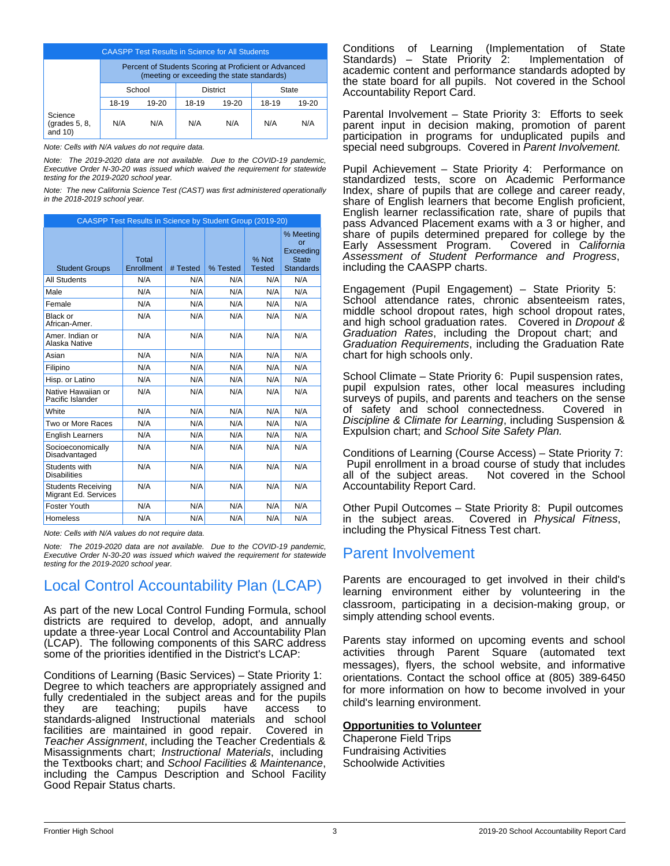| <b>CAASPP Test Results in Science for All Students</b> |                                                                                                     |         |       |           |       |       |
|--------------------------------------------------------|-----------------------------------------------------------------------------------------------------|---------|-------|-----------|-------|-------|
|                                                        | Percent of Students Scoring at Proficient or Advanced<br>(meeting or exceeding the state standards) |         |       |           |       |       |
|                                                        | <b>District</b><br>School<br>State                                                                  |         |       |           |       |       |
|                                                        | 18-19                                                                                               | $19-20$ | 18-19 | $19 - 20$ | 18-19 | 19-20 |
| Science<br>$\left($ grades 5, 8,<br>and $10$ )         | N/A                                                                                                 | N/A     | N/A   | N/A       | N/A   | N/A   |

*Note: Cells with N/A values do not require data.*

*Note: The 2019-2020 data are not available. Due to the COVID-19 pandemic, Executive Order N-30-20 was issued which waived the requirement for statewide testing for the 2019-2020 school year.*

*Note: The new California Science Test (CAST) was first administered operationally in the 2018-2019 school year.*

| CAASPP Test Results in Science by Student Group (2019-20) |                     |          |          |                        |                                                                  |
|-----------------------------------------------------------|---------------------|----------|----------|------------------------|------------------------------------------------------------------|
| <b>Student Groups</b>                                     | Total<br>Enrollment | # Tested | % Tested | % Not<br><b>Tested</b> | % Meeting<br>or<br>Exceeding<br><b>State</b><br><b>Standards</b> |
| All Students                                              | N/A                 | N/A      | N/A      | N/A                    | N/A                                                              |
| Male                                                      | N/A                 | N/A      | N/A      | N/A                    | N/A                                                              |
| Female                                                    | N/A                 | N/A      | N/A      | N/A                    | N/A                                                              |
| Black or<br>African-Amer.                                 | N/A                 | N/A      | N/A      | N/A                    | N/A                                                              |
| Amer, Indian or<br>Alaska Native                          | N/A                 | N/A      | N/A      | N/A                    | N/A                                                              |
| Asian                                                     | N/A                 | N/A      | N/A      | N/A                    | N/A                                                              |
| Filipino                                                  | N/A                 | N/A      | N/A      | N/A                    | N/A                                                              |
| Hisp. or Latino                                           | N/A                 | N/A      | N/A      | N/A                    | N/A                                                              |
| Native Hawaiian or<br>Pacific Islander                    | N/A                 | N/A      | N/A      | N/A                    | N/A                                                              |
| White                                                     | N/A                 | N/A      | N/A      | N/A                    | N/A                                                              |
| Two or More Races                                         | N/A                 | N/A      | N/A      | N/A                    | N/A                                                              |
| <b>English Learners</b>                                   | N/A                 | N/A      | N/A      | N/A                    | N/A                                                              |
| Socioeconomically<br>Disadvantaged                        | N/A                 | N/A      | N/A      | N/A                    | N/A                                                              |
| Students with<br><b>Disabilities</b>                      | N/A                 | N/A      | N/A      | N/A                    | N/A                                                              |
| <b>Students Receiving</b><br>Migrant Ed. Services         | N/A                 | N/A      | N/A      | N/A                    | N/A                                                              |
| Foster Youth                                              | N/A                 | N/A      | N/A      | N/A                    | N/A                                                              |
| Homeless                                                  | N/A                 | N/A      | N/A      | N/A                    | N/A                                                              |

*Note: Cells with N/A values do not require data.*

*Note: The 2019-2020 data are not available. Due to the COVID-19 pandemic, Executive Order N-30-20 was issued which waived the requirement for statewide testing for the 2019-2020 school year.*

# Local Control Accountability Plan (LCAP)

As part of the new Local Control Funding Formula, school districts are required to develop, adopt, and annually update a three-year Local Control and Accountability Plan (LCAP). The following components of this SARC address some of the priorities identified in the District's LCAP:

Conditions of Learning (Basic Services) – State Priority 1: Degree to which teachers are appropriately assigned and fully credentialed in the subject areas and for the pupils they are teaching; pupils have access to standards-aligned Instructional materials and school facilities are maintained in good repair. Covered in *Teacher Assignment*, including the Teacher Credentials & Misassignments chart; *Instructional Materials*, including the Textbooks chart; and *School Facilities & Maintenance*, including the Campus Description and School Facility Good Repair Status charts.

Conditions of Learning (Implementation of State Standards) – State Priority 2: academic content and performance standards adopted by the state board for all pupils. Not covered in the School Accountability Report Card.

Parental Involvement – State Priority 3: Efforts to seek parent input in decision making, promotion of parent participation in programs for unduplicated pupils and special need subgroups. Covered in *Parent Involvement.*

Pupil Achievement – State Priority 4: Performance on standardized tests, score on Academic Performance Index, share of pupils that are college and career ready, share of English learners that become English proficient, English learner reclassification rate, share of pupils that pass Advanced Placement exams with a 3 or higher, and share of pupils determined prepared for college by the Early Assessment Program. Covered in California Early Assessment Program. *Assessment of Student Performance and Progress*, including the CAASPP charts.

Engagement (Pupil Engagement) – State Priority 5: School attendance rates, chronic absenteeism rates, middle school dropout rates, high school dropout rates, and high school graduation rates. Covered in *Dropout & Graduation Rates*, including the Dropout chart; and *Graduation Requirements*, including the Graduation Rate chart for high schools only.

School Climate – State Priority 6: Pupil suspension rates, pupil expulsion rates, other local measures including surveys of pupils, and parents and teachers on the sense of safety and school connectedness. Covered in *Discipline & Climate for Learning*, including Suspension & Expulsion chart; and *School Site Safety Plan.*

Conditions of Learning (Course Access) – State Priority 7: Pupil enrollment in a broad course of study that includes all of the subject areas. Not covered in the School Accountability Report Card.

Other Pupil Outcomes – State Priority 8: Pupil outcomes in the subject areas. Covered in *Physical Fitness*, including the Physical Fitness Test chart.

# Parent Involvement

Parents are encouraged to get involved in their child's learning environment either by volunteering in the classroom, participating in a decision-making group, or simply attending school events.

Parents stay informed on upcoming events and school activities through Parent Square (automated text messages), flyers, the school website, and informative orientations. Contact the school office at (805) 389-6450 for more information on how to become involved in your child's learning environment.

# **Opportunities to Volunteer**

Chaperone Field Trips Fundraising Activities Schoolwide Activities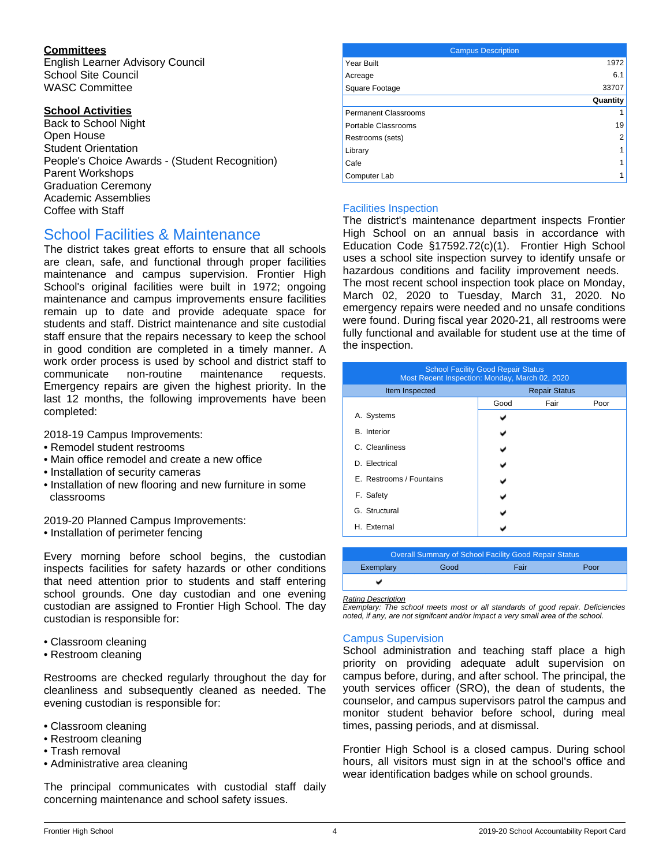# **Committees**

English Learner Advisory Council School Site Council WASC Committee

## **School Activities**

Back to School Night Open House Student Orientation People's Choice Awards - (Student Recognition) Parent Workshops Graduation Ceremony Academic Assemblies Coffee with Staff

# School Facilities & Maintenance

The district takes great efforts to ensure that all schools are clean, safe, and functional through proper facilities maintenance and campus supervision. Frontier High School's original facilities were built in 1972; ongoing maintenance and campus improvements ensure facilities remain up to date and provide adequate space for students and staff. District maintenance and site custodial staff ensure that the repairs necessary to keep the school in good condition are completed in a timely manner. A work order process is used by school and district staff to communicate non-routine maintenance requests. Emergency repairs are given the highest priority. In the last 12 months, the following improvements have been completed:

2018-19 Campus Improvements:

- Remodel student restrooms
- Main office remodel and create a new office
- Installation of security cameras
- Installation of new flooring and new furniture in some classrooms

2019-20 Planned Campus Improvements:

• Installation of perimeter fencing

Every morning before school begins, the custodian inspects facilities for safety hazards or other conditions that need attention prior to students and staff entering school grounds. One day custodian and one evening custodian are assigned to Frontier High School. The day custodian is responsible for:

- Classroom cleaning
- Restroom cleaning

Restrooms are checked regularly throughout the day for cleanliness and subsequently cleaned as needed. The evening custodian is responsible for:

- Classroom cleaning
- Restroom cleaning
- Trash removal
- Administrative area cleaning

The principal communicates with custodial staff daily concerning maintenance and school safety issues.

| <b>Campus Description</b> |          |
|---------------------------|----------|
| Year Built                | 1972     |
| Acreage                   | 6.1      |
| Square Footage            | 33707    |
|                           | Quantity |
| Permanent Classrooms      |          |
| Portable Classrooms       | 19       |
| Restrooms (sets)          | 2        |
| Library                   |          |
| Cafe                      |          |
| Computer Lab              |          |

## Facilities Inspection

The district's maintenance department inspects Frontier High School on an annual basis in accordance with Education Code §17592.72(c)(1). Frontier High School uses a school site inspection survey to identify unsafe or hazardous conditions and facility improvement needs. The most recent school inspection took place on Monday, March 02, 2020 to Tuesday, March 31, 2020. No emergency repairs were needed and no unsafe conditions were found. During fiscal year 2020-21, all restrooms were fully functional and available for student use at the time of the inspection.

| <b>School Facility Good Repair Status</b><br>Most Recent Inspection: Monday, March 02, 2020 |                      |      |      |  |  |
|---------------------------------------------------------------------------------------------|----------------------|------|------|--|--|
| Item Inspected                                                                              | <b>Repair Status</b> |      |      |  |  |
|                                                                                             | Good                 | Fair | Poor |  |  |
| A. Systems                                                                                  |                      |      |      |  |  |
| <b>B.</b> Interior                                                                          |                      |      |      |  |  |
| C. Cleanliness                                                                              |                      |      |      |  |  |
| D. Electrical                                                                               |                      |      |      |  |  |
| E. Restrooms / Fountains                                                                    |                      |      |      |  |  |
| F. Safety                                                                                   |                      |      |      |  |  |
| G. Structural                                                                               |                      |      |      |  |  |
| H. External                                                                                 |                      |      |      |  |  |

| Overall Summary of School Facility Good Repair Status |      |      |      |  |  |  |
|-------------------------------------------------------|------|------|------|--|--|--|
| Exemplary                                             | Good | Fair | Poor |  |  |  |
|                                                       |      |      |      |  |  |  |
|                                                       |      |      |      |  |  |  |

*Rating Description*

*Exemplary: The school meets most or all standards of good repair. Deficiencies noted, if any, are not signifcant and/or impact a very small area of the school.*

### Campus Supervision

School administration and teaching staff place a high priority on providing adequate adult supervision on campus before, during, and after school. The principal, the youth services officer (SRO), the dean of students, the counselor, and campus supervisors patrol the campus and monitor student behavior before school, during meal times, passing periods, and at dismissal.

Frontier High School is a closed campus. During school hours, all visitors must sign in at the school's office and wear identification badges while on school grounds.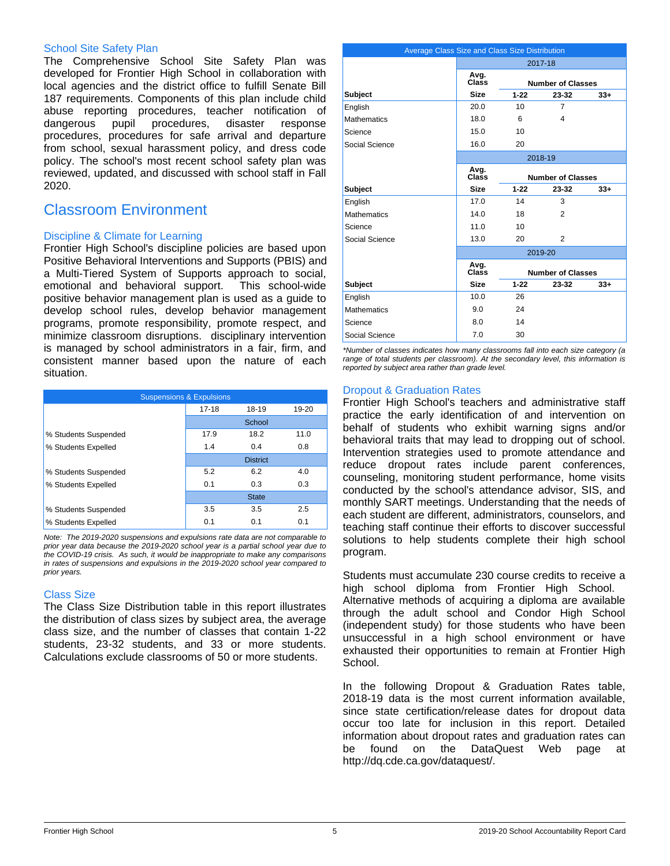#### School Site Safety Plan

The Comprehensive School Site Safety Plan was developed for Frontier High School in collaboration with local agencies and the district office to fulfill Senate Bill 187 requirements. Components of this plan include child abuse reporting procedures, teacher notification of dangerous pupil procedures, disaster response procedures, procedures for safe arrival and departure from school, sexual harassment policy, and dress code policy. The school's most recent school safety plan was reviewed, updated, and discussed with school staff in Fall 2020.

# Classroom Environment

## Discipline & Climate for Learning

Frontier High School's discipline policies are based upon Positive Behavioral Interventions and Supports (PBIS) and a Multi-Tiered System of Supports approach to social, emotional and behavioral support. This school-wide positive behavior management plan is used as a guide to develop school rules, develop behavior management programs, promote responsibility, promote respect, and minimize classroom disruptions. disciplinary intervention is managed by school administrators in a fair, firm, and consistent manner based upon the nature of each situation.

| <b>Suspensions &amp; Expulsions</b> |           |                 |       |  |  |
|-------------------------------------|-----------|-----------------|-------|--|--|
|                                     | $17 - 18$ | 18-19           | 19-20 |  |  |
|                                     |           | School          |       |  |  |
| % Students Suspended                | 17.9      | 18.2            | 11.0  |  |  |
| % Students Expelled                 | 1.4       | 0.4             | 0.8   |  |  |
|                                     |           | <b>District</b> |       |  |  |
| % Students Suspended                | 5.2       | 6.2             | 4.0   |  |  |
| % Students Expelled                 | 0.1       | 0.3             | 0.3   |  |  |
|                                     |           | <b>State</b>    |       |  |  |
| % Students Suspended                | 3.5       | 3.5             | 2.5   |  |  |
| % Students Expelled                 | 0.1       | 0.1             | 0.1   |  |  |

*Note: The 2019-2020 suspensions and expulsions rate data are not comparable to prior year data because the 2019-2020 school year is a partial school year due to the COVID-19 crisis. As such, it would be inappropriate to make any comparisons in rates of suspensions and expulsions in the 2019-2020 school year compared to prior years.*

### Class Size

The Class Size Distribution table in this report illustrates the distribution of class sizes by subject area, the average class size, and the number of classes that contain 1-22 students, 23-32 students, and 33 or more students. Calculations exclude classrooms of 50 or more students.

| Average Class Size and Class Size Distribution |               |                 |                          |       |  |
|------------------------------------------------|---------------|-----------------|--------------------------|-------|--|
|                                                |               |                 | 2017-18                  |       |  |
|                                                | Avg.<br>Class |                 | <b>Number of Classes</b> |       |  |
| <b>Subject</b>                                 | Size          | $1 - 22$        | 23-32                    | $33+$ |  |
| English                                        | 20.0          | 10 <sup>1</sup> | 7                        |       |  |
| <b>Mathematics</b>                             | 18.0          | 6               | 4                        |       |  |
| Science                                        | 15.0          | 10              |                          |       |  |
| Social Science                                 | 16.0          | 20              |                          |       |  |
|                                                |               |                 | 2018-19                  |       |  |
|                                                | Avg.<br>Class |                 | <b>Number of Classes</b> |       |  |
| <b>Subject</b>                                 | <b>Size</b>   | $1 - 22$        | 23-32                    | $33+$ |  |
| English                                        | 17.0          | 14              | 3                        |       |  |
| <b>Mathematics</b>                             | 14.0          | 18              | 2                        |       |  |
| Science                                        | 11.0          | 10 <sup>1</sup> |                          |       |  |
| Social Science                                 | 13.0          | 20              | 2                        |       |  |
|                                                |               |                 | 2019-20                  |       |  |
|                                                | Avg.<br>Class |                 | <b>Number of Classes</b> |       |  |
| <b>Subject</b>                                 | <b>Size</b>   | $1 - 22$        | 23-32                    | $33+$ |  |
| English                                        | 10.0          | 26              |                          |       |  |
| <b>Mathematics</b>                             | 9.0           | 24              |                          |       |  |
| Science                                        | 8.0           | 14              |                          |       |  |
| Social Science                                 | 7.0           | 30              |                          |       |  |

*\*Number of classes indicates how many classrooms fall into each size category (a range of total students per classroom). At the secondary level, this information is reported by subject area rather than grade level.*

### Dropout & Graduation Rates

Frontier High School's teachers and administrative staff practice the early identification of and intervention on behalf of students who exhibit warning signs and/or behavioral traits that may lead to dropping out of school. Intervention strategies used to promote attendance and reduce dropout rates include parent conferences, counseling, monitoring student performance, home visits conducted by the school's attendance advisor, SIS, and monthly SART meetings. Understanding that the needs of each student are different, administrators, counselors, and teaching staff continue their efforts to discover successful solutions to help students complete their high school program.

Students must accumulate 230 course credits to receive a high school diploma from Frontier High School. Alternative methods of acquiring a diploma are available through the adult school and Condor High School (independent study) for those students who have been unsuccessful in a high school environment or have exhausted their opportunities to remain at Frontier High School.

In the following Dropout & Graduation Rates table, 2018-19 data is the most current information available, since state certification/release dates for dropout data occur too late for inclusion in this report. Detailed information about dropout rates and graduation rates can be found on the DataQuest Web page at http://dq.cde.ca.gov/dataquest/.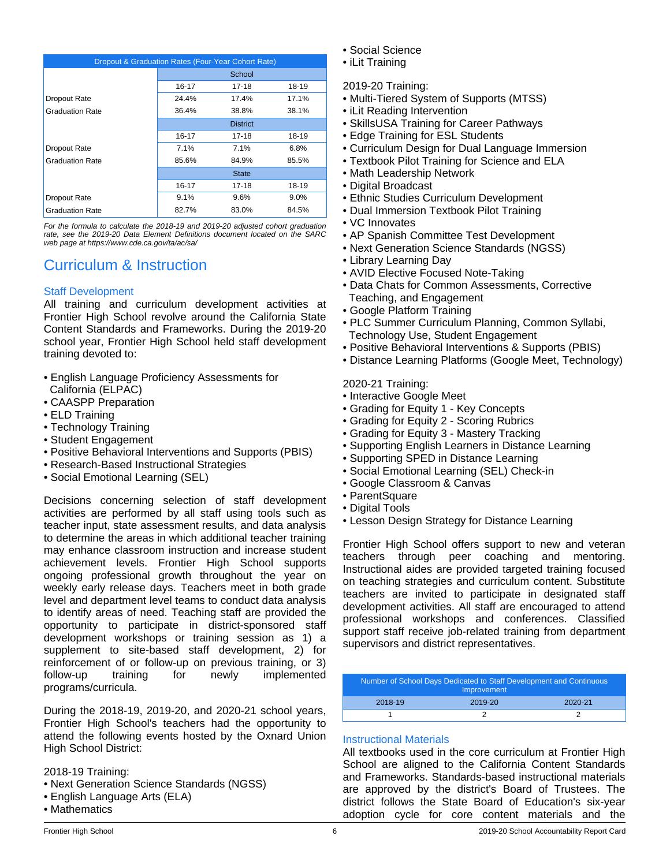| Dropout & Graduation Rates (Four-Year Cohort Rate) |                 |              |       |  |  |
|----------------------------------------------------|-----------------|--------------|-------|--|--|
|                                                    |                 | School       |       |  |  |
|                                                    | $16 - 17$       | 17-18        | 18-19 |  |  |
| Dropout Rate                                       | 24.4%           | 17.4%        | 17.1% |  |  |
| <b>Graduation Rate</b>                             | 36.4%           | 38.8%        | 38.1% |  |  |
|                                                    | <b>District</b> |              |       |  |  |
|                                                    | $16 - 17$       | 17-18        | 18-19 |  |  |
| Dropout Rate                                       | 7.1%            | 7.1%         | 6.8%  |  |  |
| <b>Graduation Rate</b>                             | 85.6%           | 84.9%        | 85.5% |  |  |
|                                                    |                 | <b>State</b> |       |  |  |
|                                                    | $16 - 17$       | $17 - 18$    | 18-19 |  |  |
| Dropout Rate                                       | 9.1%            | 9.6%         | 9.0%  |  |  |
| <b>Graduation Rate</b>                             | 82.7%           | 83.0%        | 84.5% |  |  |

*For the formula to calculate the 2018-19 and 2019-20 adjusted cohort graduation rate, see the 2019-20 Data Element Definitions document located on the SARC web page at https://www.cde.ca.gov/ta/ac/sa/*

# Curriculum & Instruction

# Staff Development

All training and curriculum development activities at Frontier High School revolve around the California State Content Standards and Frameworks. During the 2019-20 school year, Frontier High School held staff development training devoted to:

- English Language Proficiency Assessments for California (ELPAC)
- CAASPP Preparation
- ELD Training
- Technology Training
- Student Engagement
- Positive Behavioral Interventions and Supports (PBIS)
- Research-Based Instructional Strategies
- Social Emotional Learning (SEL)

Decisions concerning selection of staff development activities are performed by all staff using tools such as teacher input, state assessment results, and data analysis to determine the areas in which additional teacher training may enhance classroom instruction and increase student achievement levels. Frontier High School supports ongoing professional growth throughout the year on weekly early release days. Teachers meet in both grade level and department level teams to conduct data analysis to identify areas of need. Teaching staff are provided the opportunity to participate in district-sponsored staff development workshops or training session as 1) a supplement to site-based staff development, 2) for reinforcement of or follow-up on previous training, or 3) follow-up training for newly implemented programs/curricula.

During the 2018-19, 2019-20, and 2020-21 school years, Frontier High School's teachers had the opportunity to attend the following events hosted by the Oxnard Union High School District:

2018-19 Training:

- Next Generation Science Standards (NGSS)
- English Language Arts (ELA)
- Mathematics
- Social Science
- iLit Training

## 2019-20 Training:

- Multi-Tiered System of Supports (MTSS)
- iLit Reading Intervention
- SkillsUSA Training for Career Pathways
- Edge Training for ESL Students
- Curriculum Design for Dual Language Immersion
- Textbook Pilot Training for Science and ELA
- Math Leadership Network
- Digital Broadcast
- Ethnic Studies Curriculum Development
- Dual Immersion Textbook Pilot Training
- VC Innovates
- AP Spanish Committee Test Development
- Next Generation Science Standards (NGSS)
- Library Learning Day
- AVID Elective Focused Note-Taking
- Data Chats for Common Assessments, Corrective Teaching, and Engagement
- Google Platform Training
- PLC Summer Curriculum Planning, Common Syllabi, Technology Use, Student Engagement
- Positive Behavioral Interventions & Supports (PBIS)
- Distance Learning Platforms (Google Meet, Technology)

### 2020-21 Training:

- Interactive Google Meet
- Grading for Equity 1 Key Concepts
- Grading for Equity 2 Scoring Rubrics
- Grading for Equity 3 Mastery Tracking
- Supporting English Learners in Distance Learning
- Supporting SPED in Distance Learning
- Social Emotional Learning (SEL) Check-in
- Google Classroom & Canvas
- ParentSquare
- Digital Tools
- Lesson Design Strategy for Distance Learning

Frontier High School offers support to new and veteran teachers through peer coaching and mentoring. Instructional aides are provided targeted training focused on teaching strategies and curriculum content. Substitute teachers are invited to participate in designated staff development activities. All staff are encouraged to attend professional workshops and conferences. Classified support staff receive job-related training from department supervisors and district representatives.

| Number of School Days Dedicated to Staff Development and Continuous<br>Improvement |         |         |  |  |  |
|------------------------------------------------------------------------------------|---------|---------|--|--|--|
| 2018-19                                                                            | 2019-20 | 2020-21 |  |  |  |
|                                                                                    |         |         |  |  |  |

### Instructional Materials

All textbooks used in the core curriculum at Frontier High School are aligned to the California Content Standards and Frameworks. Standards-based instructional materials are approved by the district's Board of Trustees. The district follows the State Board of Education's six-year adoption cycle for core content materials and the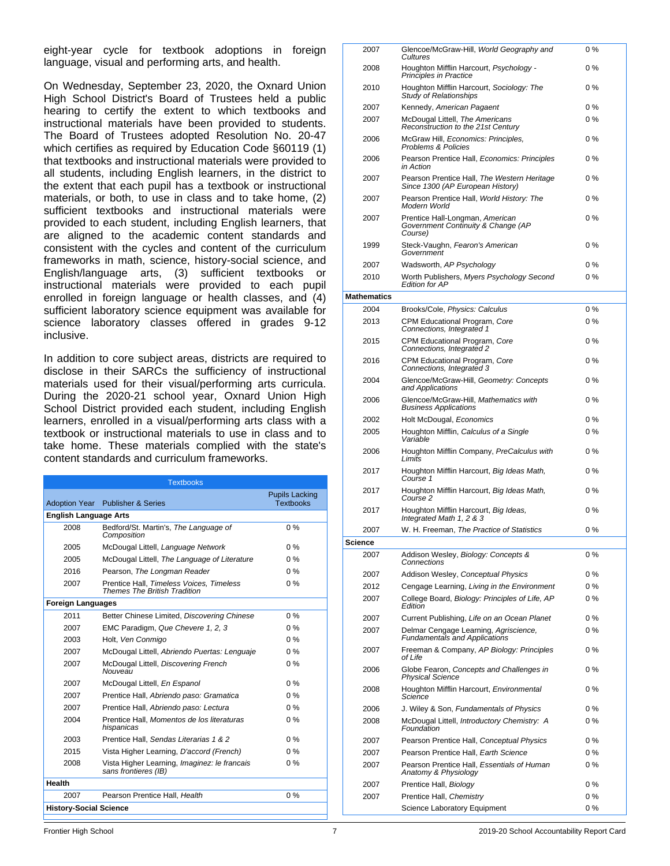eight-year cycle for textbook adoptions in foreign language, visual and performing arts, and health.

On Wednesday, September 23, 2020, the Oxnard Union High School District's Board of Trustees held a public hearing to certify the extent to which textbooks and instructional materials have been provided to students. The Board of Trustees adopted Resolution No. 20-47 which certifies as required by Education Code §60119 (1) that textbooks and instructional materials were provided to all students, including English learners, in the district to the extent that each pupil has a textbook or instructional materials, or both, to use in class and to take home, (2) sufficient textbooks and instructional materials were provided to each student, including English learners, that are aligned to the academic content standards and consistent with the cycles and content of the curriculum frameworks in math, science, history-social science, and English/language arts, (3) sufficient textbooks or instructional materials were provided to each pupil enrolled in foreign language or health classes, and (4) sufficient laboratory science equipment was available for science laboratory classes offered in grades 9-12 inclusive.

In addition to core subject areas, districts are required to disclose in their SARCs the sufficiency of instructional materials used for their visual/performing arts curricula. During the 2020-21 school year, Oxnard Union High School District provided each student, including English learners, enrolled in a visual/performing arts class with a textbook or instructional materials to use in class and to take home. These materials complied with the state's content standards and curriculum frameworks.

|                               | <b>Textbooks</b>                                                         |                                           |  |  |  |
|-------------------------------|--------------------------------------------------------------------------|-------------------------------------------|--|--|--|
| <b>Adoption Year</b>          | <b>Publisher &amp; Series</b>                                            | <b>Pupils Lacking</b><br><b>Textbooks</b> |  |  |  |
| <b>English Language Arts</b>  |                                                                          |                                           |  |  |  |
| 2008                          | Bedford/St. Martin's, The Language of<br>Composition                     | $0\%$                                     |  |  |  |
| 2005                          | McDougal Littell, Language Network                                       | $0\%$                                     |  |  |  |
| 2005                          | McDougal Littell, The Language of Literature                             | $0\%$                                     |  |  |  |
| 2016                          | Pearson, The Longman Reader                                              | $0\%$                                     |  |  |  |
| 2007                          | Prentice Hall, Timeless Voices, Timeless<br>Themes The British Tradition | $0\%$                                     |  |  |  |
| <b>Foreign Languages</b>      |                                                                          |                                           |  |  |  |
| 2011                          | Better Chinese Limited, Discovering Chinese                              | $0\%$                                     |  |  |  |
| 2007                          | EMC Paradigm, Que Chevere 1, 2, 3                                        | $0\%$                                     |  |  |  |
| 2003                          | Holt, Ven Conmigo                                                        | $0\%$                                     |  |  |  |
| 2007                          | McDougal Littell, Abriendo Puertas: Lenguaje                             | $0\%$                                     |  |  |  |
| 2007                          | McDougal Littell, Discovering French<br>Nouveau                          | $0\%$                                     |  |  |  |
| 2007                          | McDougal Littell, En Espanol                                             | $0\%$                                     |  |  |  |
| 2007                          | Prentice Hall, Abriendo paso: Gramatica                                  | $0\%$                                     |  |  |  |
| 2007                          | Prentice Hall, Abriendo paso: Lectura                                    | $0\%$                                     |  |  |  |
| 2004                          | Prentice Hall, Momentos de los literaturas<br>hispanicas                 | $0\%$                                     |  |  |  |
| 2003                          | Prentice Hall, Sendas Literarias 1 & 2                                   | $0\%$                                     |  |  |  |
| 2015                          | Vista Higher Learning, D'accord (French)                                 | $0\%$                                     |  |  |  |
| 2008                          | Vista Higher Learning, Imaginez: le francais<br>sans frontieres (IB)     | $0\%$                                     |  |  |  |
| <b>Health</b>                 |                                                                          |                                           |  |  |  |
| 2007                          | Pearson Prentice Hall, Health                                            | $0\%$                                     |  |  |  |
| <b>History-Social Science</b> |                                                                          |                                           |  |  |  |

|         | 2007         | Glencoe/McGraw-Hill, World Geography and<br>Cultures                                                           | 0%       |
|---------|--------------|----------------------------------------------------------------------------------------------------------------|----------|
|         | 2008         | Houghton Mifflin Harcourt, Psychology -<br>Principles in Practice                                              | $0\%$    |
|         | 2010         | Houghton Mifflin Harcourt, Sociology: The<br>Study of Relationships                                            | 0 %      |
|         | 2007         | Kennedy, American Pagaent                                                                                      | $0\%$    |
|         | 2007         | McDougal Littell, The Americans<br>Reconstruction to the 21st Century                                          | 0%       |
|         | 2006         | McGraw Hill, Economics: Principles,<br><b>Problems &amp; Policies</b>                                          | 0 %      |
|         | 2006         | Pearson Prentice Hall, Economics: Principles<br>in Action                                                      | $0\%$    |
|         | 2007         | Pearson Prentice Hall, The Western Heritage<br>Since 1300 (AP European History)                                | 0 %      |
|         | 2007         | Pearson Prentice Hall, World History: The<br>Modern World                                                      | 0 %      |
|         | 2007         | Prentice Hall-Longman, American<br>Government Continuity & Change (AP<br>Course)                               | 0 %      |
|         | 1999         | Steck-Vaughn, Fearon's American<br>Government                                                                  | 0 %      |
|         | 2007         | Wadsworth, AP Psychology                                                                                       | $0\%$    |
|         | 2010         | Worth Publishers, Myers Psychology Second<br><b>Edition for AP</b>                                             | 0%       |
|         | Mathematics  |                                                                                                                |          |
|         | 2004         | Brooks/Cole, Physics: Calculus                                                                                 | 0 %      |
|         | 2013         | CPM Educational Program, Core<br>Connections, Integrated 1                                                     | 0%       |
|         | 2015         | CPM Educational Program, Core<br>Connections, Integrated 2                                                     | 0%       |
|         | 2016         | CPM Educational Program, Core<br>Connections, Integrated 3                                                     | 0%       |
|         | 2004         | Glencoe/McGraw-Hill, Geometry: Concepts<br>and Applications                                                    | 0%       |
|         | 2006         | Glencoe/McGraw-Hill, Mathematics with<br><b>Business Applications</b>                                          | 0%       |
|         | 2002         | Holt McDougal, Economics                                                                                       | 0%       |
|         | 2005         | Houghton Mifflin, Calculus of a Single<br>Variable                                                             | 0%       |
|         | 2006         | Houghton Mifflin Company, PreCalculus with<br>Limits                                                           | 0%       |
|         | 2017         | Houghton Mifflin Harcourt, Big Ideas Math,<br>Course 1                                                         | 0%       |
|         | 2017         | Houghton Mifflin Harcourt, Big Ideas Math,<br>Course <sub>2</sub>                                              | 0%       |
|         | 2017<br>2007 | Houghton Mifflin Harcourt, Big Ideas,<br>Integrated Math 1, 2 & 3<br>W. H. Freeman, The Practice of Statistics | 0%<br>0% |
|         |              |                                                                                                                |          |
| Science |              |                                                                                                                | 0%       |
|         | 2007         | Addison Wesley, Biology: Concepts &<br>Connections                                                             |          |
|         | 2007         | Addison Wesley, Conceptual Physics                                                                             | 0%       |
|         | 2012         | Cengage Learning, Living in the Environment                                                                    | 0%       |
|         | 2007         | College Board, Biology: Principles of Life, AP<br>Edition                                                      | 0 %      |
|         | 2007         | Current Publishing, Life on an Ocean Planet                                                                    | 0 %      |
|         | 2007         | Delmar Cengage Learning, Agriscience,<br><b>Fundamentals and Applications</b>                                  | 0%       |
|         | 2007         | Freeman & Company, AP Biology: Principles<br>of Life<br>Globe Fearon, Concepts and Challenges in               | 0%<br>0% |
|         | 2006         | <b>Physical Science</b>                                                                                        |          |
|         | 2008         | Houghton Mifflin Harcourt, Environmental<br>Science                                                            | 0%       |
|         | 2006         | J. Wiley & Son, Fundamentals of Physics                                                                        | 0%       |
|         | 2008         | McDougal Littell, Introductory Chemistry: A<br>Foundation                                                      | 0 %      |
|         | 2007         | Pearson Prentice Hall, Conceptual Physics                                                                      | 0 %      |
|         | 2007         | Pearson Prentice Hall, Earth Science                                                                           | 0 %      |
|         | 2007         | Pearson Prentice Hall, Essentials of Human<br>Anatomy & Physiology                                             | 0%<br>0% |
|         | 2007         | Prentice Hall, Biology                                                                                         |          |
|         | 2007         | Prentice Hall, Chemistry<br>Science Laboratory Equipment                                                       | 0%<br>0% |
|         |              |                                                                                                                |          |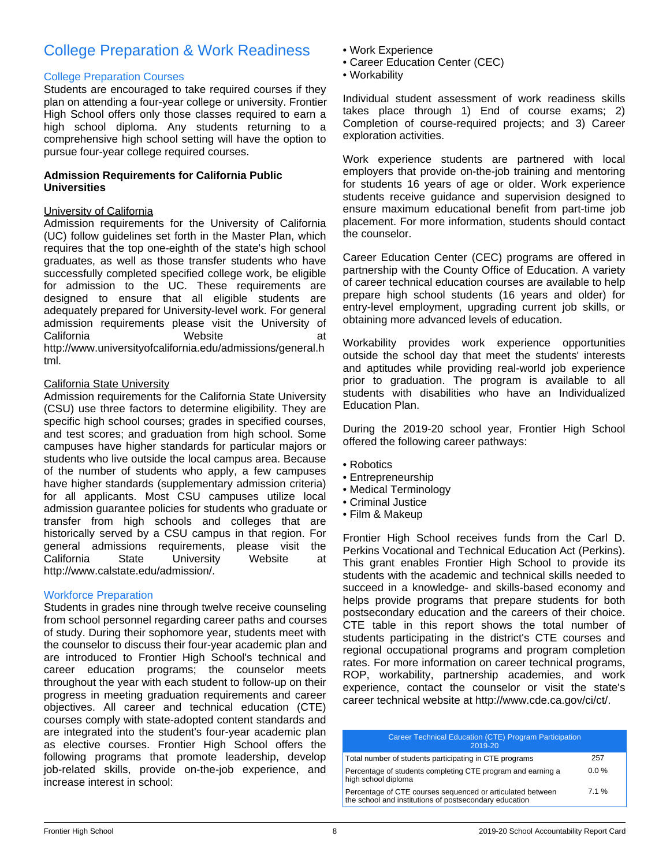# College Preparation & Work Readiness

### College Preparation Courses

Students are encouraged to take required courses if they plan on attending a four-year college or university. Frontier High School offers only those classes required to earn a high school diploma. Any students returning to a comprehensive high school setting will have the option to pursue four-year college required courses.

### **Admission Requirements for California Public Universities**

#### University of California

Admission requirements for the University of California (UC) follow guidelines set forth in the Master Plan, which requires that the top one-eighth of the state's high school graduates, as well as those transfer students who have successfully completed specified college work, be eligible for admission to the UC. These requirements are designed to ensure that all eligible students are adequately prepared for University-level work. For general admission requirements please visit the University of California **Mebsite California** at http://www.universityofcalifornia.edu/admissions/general.h tml.

### California State University

Admission requirements for the California State University (CSU) use three factors to determine eligibility. They are specific high school courses; grades in specified courses, and test scores; and graduation from high school. Some campuses have higher standards for particular majors or students who live outside the local campus area. Because of the number of students who apply, a few campuses have higher standards (supplementary admission criteria) for all applicants. Most CSU campuses utilize local admission guarantee policies for students who graduate or transfer from high schools and colleges that are historically served by a CSU campus in that region. For general admissions requirements, please visit the<br>California State University Website at California State University Website at http://www.calstate.edu/admission/.

# Workforce Preparation

Students in grades nine through twelve receive counseling from school personnel regarding career paths and courses of study. During their sophomore year, students meet with the counselor to discuss their four-year academic plan and are introduced to Frontier High School's technical and career education programs; the counselor meets throughout the year with each student to follow-up on their progress in meeting graduation requirements and career objectives. All career and technical education (CTE) courses comply with state-adopted content standards and are integrated into the student's four-year academic plan as elective courses. Frontier High School offers the following programs that promote leadership, develop job-related skills, provide on-the-job experience, and increase interest in school:

- Work Experience
- Career Education Center (CEC)
- Workability

Individual student assessment of work readiness skills takes place through 1) End of course exams; 2) Completion of course-required projects; and 3) Career exploration activities.

Work experience students are partnered with local employers that provide on-the-job training and mentoring for students 16 years of age or older. Work experience students receive guidance and supervision designed to ensure maximum educational benefit from part-time job placement. For more information, students should contact the counselor.

Career Education Center (CEC) programs are offered in partnership with the County Office of Education. A variety of career technical education courses are available to help prepare high school students (16 years and older) for entry-level employment, upgrading current job skills, or obtaining more advanced levels of education.

Workability provides work experience opportunities outside the school day that meet the students' interests and aptitudes while providing real-world job experience prior to graduation. The program is available to all students with disabilities who have an Individualized Education Plan.

During the 2019-20 school year, Frontier High School offered the following career pathways:

- Robotics
- Entrepreneurship
- Medical Terminology
- Criminal Justice
- Film & Makeup

Frontier High School receives funds from the Carl D. Perkins Vocational and Technical Education Act (Perkins). This grant enables Frontier High School to provide its students with the academic and technical skills needed to succeed in a knowledge- and skills-based economy and helps provide programs that prepare students for both postsecondary education and the careers of their choice. CTE table in this report shows the total number of students participating in the district's CTE courses and regional occupational programs and program completion rates. For more information on career technical programs, ROP, workability, partnership academies, and work experience, contact the counselor or visit the state's career technical website at http://www.cde.ca.gov/ci/ct/.

| Career Technical Education (CTE) Program Participation<br>2019-20                                                    |         |
|----------------------------------------------------------------------------------------------------------------------|---------|
| Total number of students participating in CTE programs                                                               | 257     |
| Percentage of students completing CTE program and earning a<br>high school diploma                                   | $0.0\%$ |
| Percentage of CTE courses sequenced or articulated between<br>the school and institutions of postsecondary education | 7.1%    |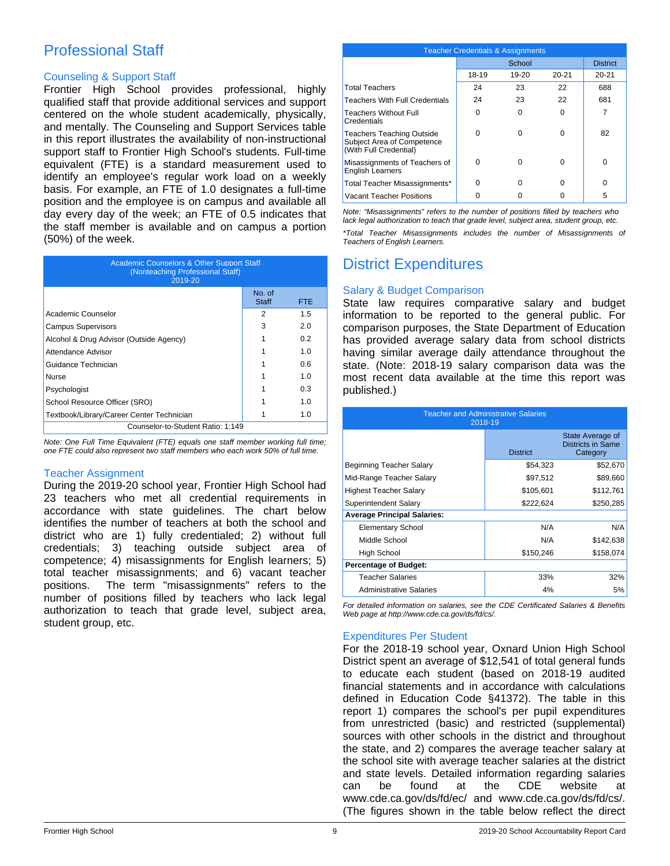# Professional Staff

### Counseling & Support Staff

Frontier High School provides professional, highly qualified staff that provide additional services and support centered on the whole student academically, physically, and mentally. The Counseling and Support Services table in this report illustrates the availability of non-instructional support staff to Frontier High School's students. Full-time equivalent (FTE) is a standard measurement used to identify an employee's regular work load on a weekly basis. For example, an FTE of 1.0 designates a full-time position and the employee is on campus and available all day every day of the week; an FTE of 0.5 indicates that the staff member is available and on campus a portion (50%) of the week.

| <b>Academic Counselors &amp; Other Support Staff</b><br>(Nonteaching Professional Staff)<br>2019-20 |                        |            |  |
|-----------------------------------------------------------------------------------------------------|------------------------|------------|--|
|                                                                                                     | No. of<br><b>Staff</b> | <b>FTE</b> |  |
| Academic Counselor                                                                                  | 2                      | 1.5        |  |
| <b>Campus Supervisors</b>                                                                           | 3                      | 2.0        |  |
| Alcohol & Drug Advisor (Outside Agency)                                                             |                        | 0.2        |  |
| Attendance Advisor                                                                                  |                        | 1.0        |  |
| Guidance Technician                                                                                 |                        | 0.6        |  |
| Nurse                                                                                               |                        | 1.0        |  |
| Psychologist                                                                                        |                        | 0.3        |  |
| School Resource Officer (SRO)                                                                       |                        | 1.0        |  |
| Textbook/Library/Career Center Technician                                                           |                        | 1.0        |  |
| Counselor-to-Student Ratio: 1:149                                                                   |                        |            |  |

*Note: One Full Time Equivalent (FTE) equals one staff member working full time; one FTE could also represent two staff members who each work 50% of full time.*

# Teacher Assignment

During the 2019-20 school year, Frontier High School had 23 teachers who met all credential requirements in accordance with state guidelines. The chart below identifies the number of teachers at both the school and district who are 1) fully credentialed; 2) without full credentials; 3) teaching outside subject area of competence; 4) misassignments for English learners; 5) total teacher misassignments; and 6) vacant teacher positions. The term "misassignments" refers to the number of positions filled by teachers who lack legal authorization to teach that grade level, subject area, student group, etc.

| <b>Teacher Credentials &amp; Assignments</b>                                             |        |           |           |                 |
|------------------------------------------------------------------------------------------|--------|-----------|-----------|-----------------|
|                                                                                          | School |           |           | <b>District</b> |
|                                                                                          | 18-19  | $19 - 20$ | $20 - 21$ | $20 - 21$       |
| <b>Total Teachers</b>                                                                    | 24     | 23        | 22        | 688             |
| <b>Teachers With Full Credentials</b>                                                    | 24     | 23        | 22        | 681             |
| <b>Teachers Without Full</b><br>Credentials                                              | ŋ      | 0         | 0         | 7               |
| <b>Teachers Teaching Outside</b><br>Subject Area of Competence<br>(With Full Credential) | U      | 0         | 0         | 82              |
| Misassignments of Teachers of<br><b>English Learners</b>                                 | ŋ      | 0         | 0         | $\Omega$        |
| Total Teacher Misassignments*                                                            | 0      | 0         | o         | 0               |
| Vacant Teacher Positions                                                                 |        |           |           | 5               |

*Note: "Misassignments" refers to the number of positions filled by teachers who lack legal authorization to teach that grade level, subject area, student group, etc.*

*\*Total Teacher Misassignments includes the number of Misassignments of Teachers of English Learners.*

# District Expenditures

## Salary & Budget Comparison

State law requires comparative salary and budget information to be reported to the general public. For comparison purposes, the State Department of Education has provided average salary data from school districts having similar average daily attendance throughout the state. (Note: 2018-19 salary comparison data was the most recent data available at the time this report was published.)

| <b>Teacher and Administrative Salaries</b><br>2018-19 |                 |                                                          |  |  |
|-------------------------------------------------------|-----------------|----------------------------------------------------------|--|--|
|                                                       | <b>District</b> | State Average of<br><b>Districts in Same</b><br>Category |  |  |
| Beginning Teacher Salary                              | \$54,323        | \$52,670                                                 |  |  |
| Mid-Range Teacher Salary                              | \$97,512        | \$89,660                                                 |  |  |
| <b>Highest Teacher Salary</b>                         | \$105,601       | \$112,761                                                |  |  |
| Superintendent Salary                                 | \$222,624       | \$250,285                                                |  |  |
| <b>Average Principal Salaries:</b>                    |                 |                                                          |  |  |
| <b>Elementary School</b>                              | N/A             | N/A                                                      |  |  |
| Middle School                                         | N/A             | \$142,638                                                |  |  |
| High School                                           | \$150,246       | \$158,074                                                |  |  |
| <b>Percentage of Budget:</b>                          |                 |                                                          |  |  |
| Teacher Salaries                                      | 33%             | 32%                                                      |  |  |
| <b>Administrative Salaries</b>                        | 4%              | 5%                                                       |  |  |

*For detailed information on salaries, see the CDE Certificated Salaries & Benefits Web page at http://www.cde.ca.gov/ds/fd/cs/.*

# Expenditures Per Student

For the 2018-19 school year, Oxnard Union High School District spent an average of \$12,541 of total general funds to educate each student (based on 2018-19 audited financial statements and in accordance with calculations defined in Education Code §41372). The table in this report 1) compares the school's per pupil expenditures from unrestricted (basic) and restricted (supplemental) sources with other schools in the district and throughout the state, and 2) compares the average teacher salary at the school site with average teacher salaries at the district and state levels. Detailed information regarding salaries can be found at the CDE website at www.cde.ca.gov/ds/fd/ec/ and www.cde.ca.gov/ds/fd/cs/. (The figures shown in the table below reflect the direct